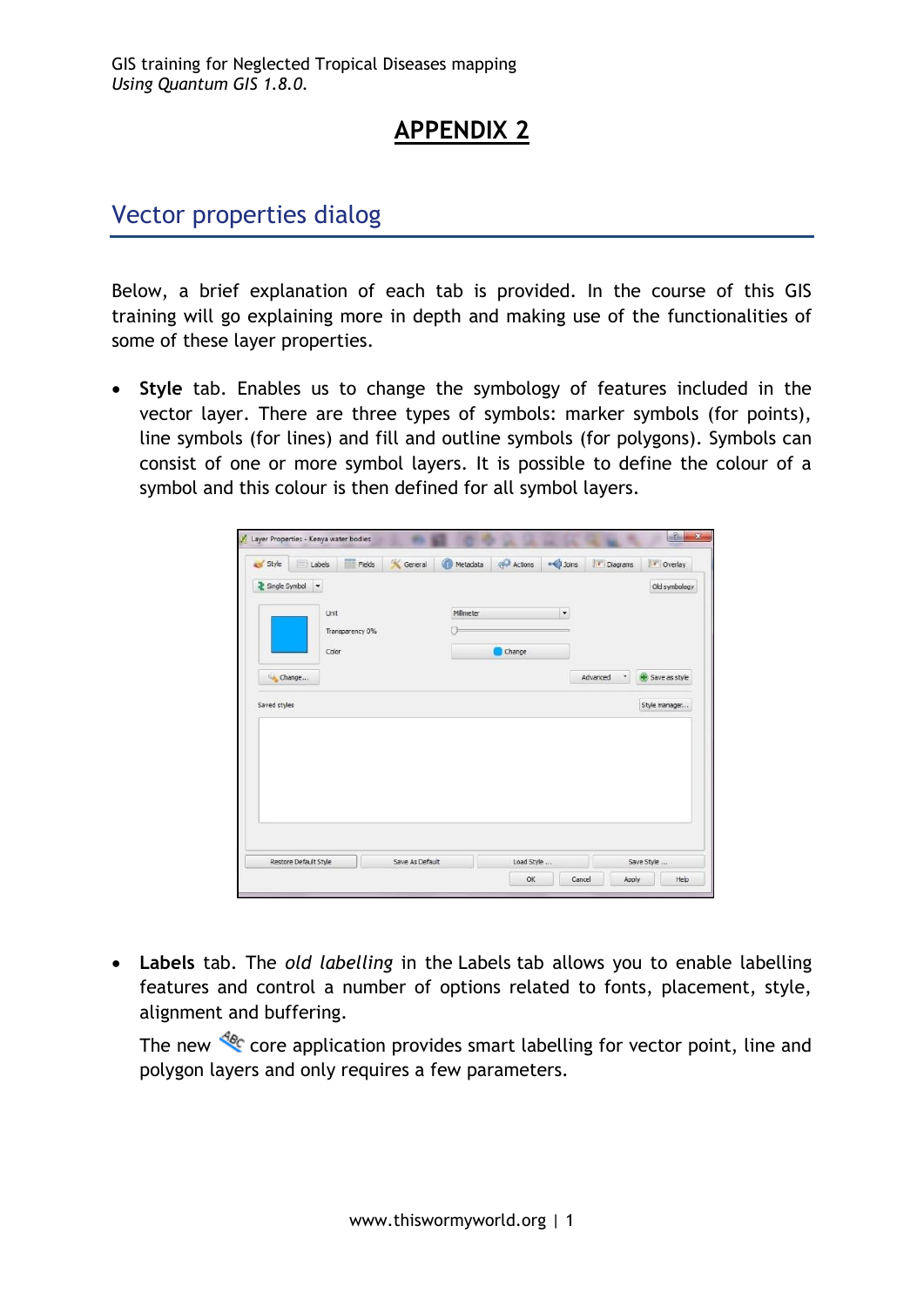## **APPENDIX 2**

## Vector properties dialog

Below, a brief explanation of each tab is provided. In the course of this GIS training will go explaining more in depth and making use of the functionalities of some of these layer properties.

 **Style** tab. Enables us to change the symbology of features included in the vector layer. There are three types of symbols: marker symbols (for points), line symbols (for lines) and fill and outline symbols (for polygons). Symbols can consist of one or more symbol layers. It is possible to define the colour of a symbol and this colour is then defined for all symbol layers.

| style         | Fields<br>Labels                 | G<br>Metadata | Actions | o Joins                  | Diagrams               | v Overlay     |
|---------------|----------------------------------|---------------|---------|--------------------------|------------------------|---------------|
| Single Symbol | $\overline{\phantom{a}}$<br>Unit | Milimeter     |         |                          |                        | Old symbology |
|               |                                  |               |         | $\overline{\phantom{a}}$ |                        |               |
|               | Transparency 0%                  |               |         |                          |                        |               |
|               | Color                            |               | Change  |                          |                        |               |
| Change        |                                  |               |         |                          | Advanced<br>$\check{}$ | Save as style |
| Saved styles  |                                  |               |         |                          |                        | Style manager |
|               |                                  |               |         |                          |                        |               |
|               |                                  |               |         |                          |                        |               |

 **Labels** tab. The *old labelling* in the Labels tab allows you to enable labelling features and control a number of options related to fonts, placement, style, alignment and buffering.

The new  $\frac{d}{dx}$  core application provides smart labelling for vector point, line and polygon layers and only requires a few parameters.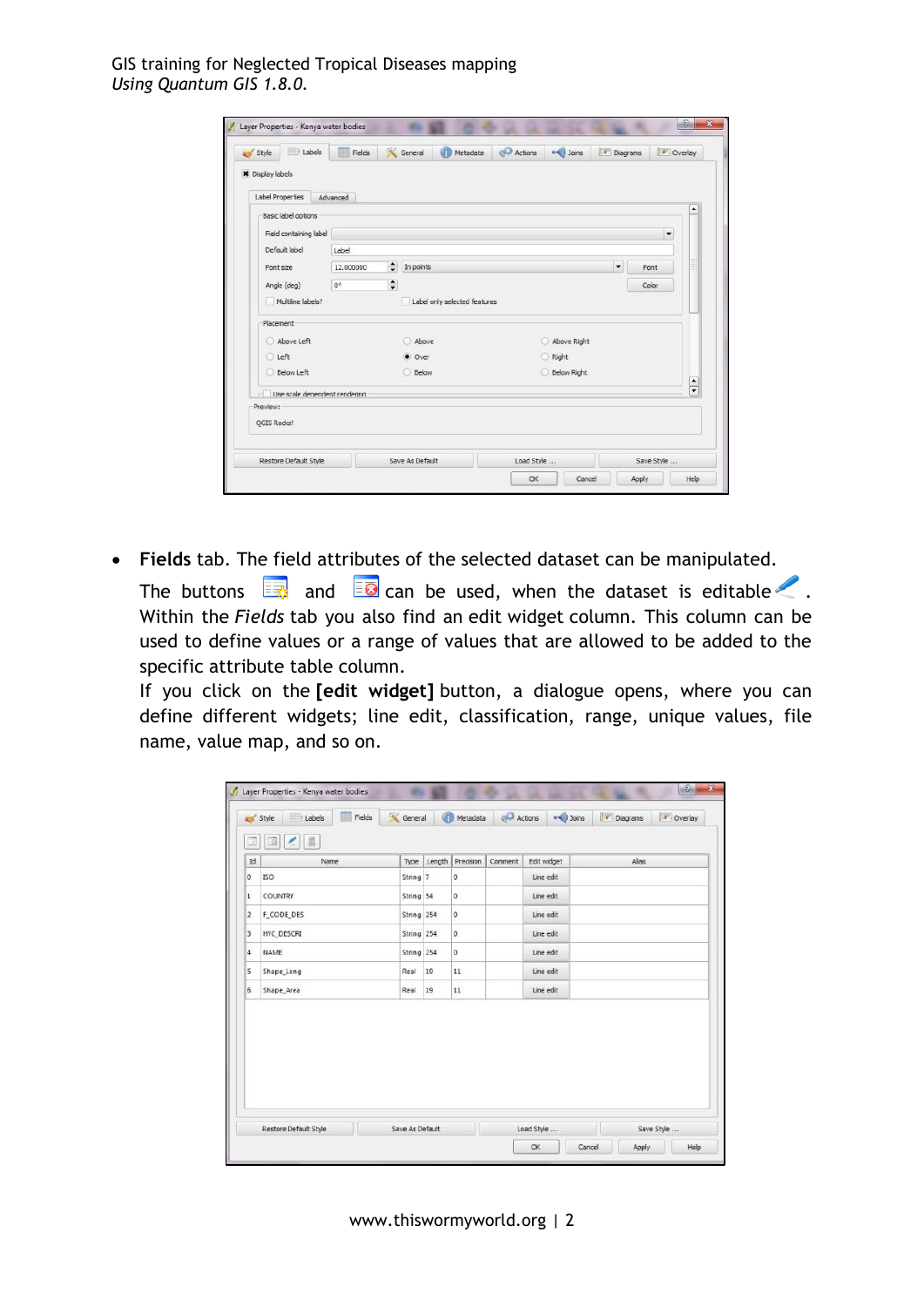| Labels<br>style                | 無<br>Fields | General             | Metadata                     | <b>GO</b> Actions | <b>Joins</b> | Diagrams   | v Overlay  |                  |
|--------------------------------|-------------|---------------------|------------------------------|-------------------|--------------|------------|------------|------------------|
| <b>*</b> Display labels        |             |                     |                              |                   |              |            |            |                  |
| Label Properties               | Advanced    |                     |                              |                   |              |            |            |                  |
| Basic label options            |             |                     |                              |                   |              |            |            | ۰                |
|                                |             |                     |                              |                   |              |            |            |                  |
| Field containing label         |             |                     |                              |                   |              |            | ۰          |                  |
| Default label                  | Label       |                     |                              |                   |              |            |            |                  |
| Font size                      | 12,000000   | $\div$<br>In points |                              |                   |              | $\check{}$ | Font       | H                |
| Angle (deg)                    | $0^{\circ}$ | $\div$              |                              |                   |              |            | Color      |                  |
| Multiine labels?               |             |                     | Label only selected features |                   |              |            |            |                  |
| Placement                      |             |                     |                              |                   |              |            |            |                  |
| Above Left                     |             | Above               |                              |                   | Above Right  |            |            |                  |
| C Left                         |             | $\bullet$ Over      |                              |                   | Right        |            |            |                  |
| <b>Below Left</b>              |             | <b>Below</b>        |                              |                   | Below Right  |            |            |                  |
| Lise scale dependent rendering |             |                     |                              |                   |              |            |            | $\frac{1}{\tau}$ |
| Preview:                       |             |                     |                              |                   |              |            |            |                  |
| <b>QGIS Rocks!</b>             |             |                     |                              |                   |              |            |            |                  |
|                                |             |                     |                              |                   |              |            |            |                  |
|                                |             | Save As Default     |                              | Load Style        |              |            | Save Style |                  |

**Fields** tab. The field attributes of the selected dataset can be manipulated.

The buttons  $\overline{\mathbb{R}}$  and  $\overline{\mathbb{R}}$  can be used, when the dataset is editable . Within the *Fields* tab you also find an edit widget column. This column can be used to define values or a range of values that are allowed to be added to the specific attribute table column.

If you click on the **[edit widget]** button, a dialogue opens, where you can define different widgets; line edit, classification, range, unique values, file name, value map, and so on.

|                | <b>Name</b>    | Type       | Length | Precision       | Comment | Edit widget | Alias |  |
|----------------|----------------|------------|--------|-----------------|---------|-------------|-------|--|
| Ō              | <b>ISO</b>     | String 7   |        | $\ddot{\rm{o}}$ |         | Line edit   |       |  |
| 1              | <b>COUNTRY</b> | String 54  |        | $\mathbf{0}$    |         | Line edit   |       |  |
| $\overline{2}$ | F_CODE_DES     | String 254 |        | $\theta$        |         | Line edit   |       |  |
| 3              | HYC DESCRI     | String 254 |        | $\circ$         |         | Line edit   |       |  |
| $\overline{4}$ | NAME           | String 254 |        | $\sigma$        |         | Line edit   |       |  |
| 5              | Shape_Leng     | Real       | 19     | 11              |         | Line edit   |       |  |
| 6              | Shape Area     | Real       | 19     | $11\,$          |         | Line edit   |       |  |
|                |                |            |        |                 |         |             |       |  |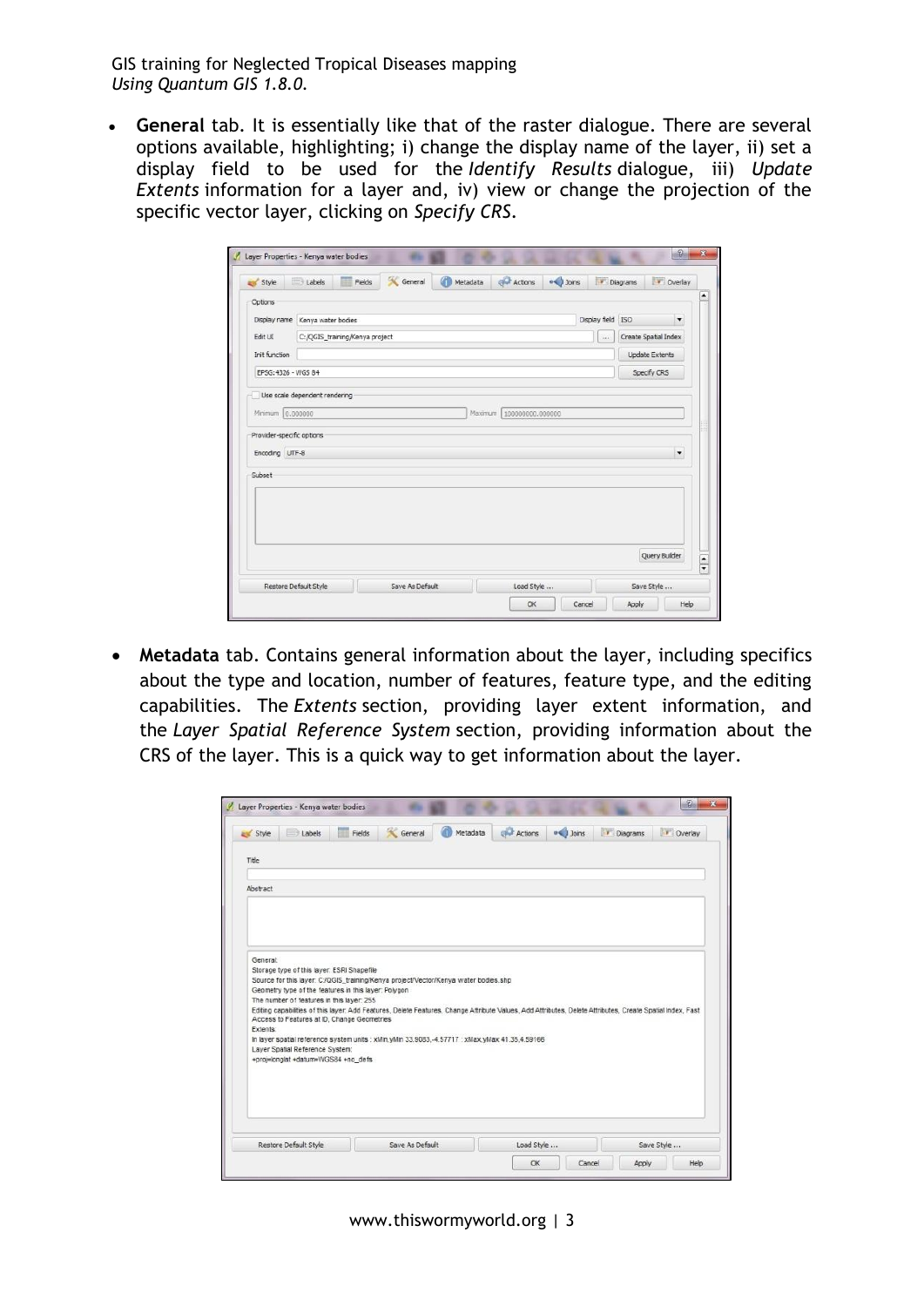**General** tab. It is essentially like that of the raster dialogue. There are several options available, highlighting; i) change the display name of the layer, ii) set a display field to be used for the *Identify Results* dialogue, iii) *Update Extents* information for a layer and, iv) view or change the projection of the specific vector layer, clicking on *Specify CRS*.

| Style                                       | Labels                          | Fields                         | General         | Metadata | <b>Actions</b> | and Joins |               | Diagrams | Overlay               |
|---------------------------------------------|---------------------------------|--------------------------------|-----------------|----------|----------------|-----------|---------------|----------|-----------------------|
| Options                                     |                                 |                                |                 |          |                |           |               |          |                       |
|                                             | Display name Kenya water bodies |                                |                 |          |                |           | Display field | ISO      | ۰                     |
| Edit UI                                     |                                 | C:/QGIS_training/Kenya project |                 |          |                |           | $\cdots$      |          | Create Spatial Index  |
| Init function                               |                                 |                                |                 |          |                |           |               |          | <b>Update Extents</b> |
| EPSG: 4326 - WGS 84                         |                                 |                                |                 |          |                |           |               |          | Specify CRS           |
| Provider-specific options<br>Encoding UTF-8 |                                 |                                |                 |          |                |           |               |          | $\check{}$            |
| Subset                                      |                                 |                                |                 |          |                |           |               |          |                       |
|                                             |                                 |                                |                 |          |                |           |               |          | Query Builder         |
|                                             | Restore Default Style           |                                | Save As Default |          | Load Style     |           |               |          | Save Style            |

 **Metadata** tab. Contains general information about the layer, including specifics about the type and location, number of features, feature type, and the editing capabilities. The *Extents* section, providing layer extent information, and the *Layer Spatial Reference System* section, providing information about the CRS of the layer. This is a quick way to get information about the layer.

| style    | Labels                                                                                            | Fields<br>m | General | Metadata                                                                                       | <b>Actions</b> | <b>u</b> <1 Joins | Diagrams                                                                                                                                                  | <b>D</b> Overlay |
|----------|---------------------------------------------------------------------------------------------------|-------------|---------|------------------------------------------------------------------------------------------------|----------------|-------------------|-----------------------------------------------------------------------------------------------------------------------------------------------------------|------------------|
|          |                                                                                                   |             |         |                                                                                                |                |                   |                                                                                                                                                           |                  |
| Title    |                                                                                                   |             |         |                                                                                                |                |                   |                                                                                                                                                           |                  |
|          |                                                                                                   |             |         |                                                                                                |                |                   |                                                                                                                                                           |                  |
| Abstract |                                                                                                   |             |         |                                                                                                |                |                   |                                                                                                                                                           |                  |
|          |                                                                                                   |             |         |                                                                                                |                |                   |                                                                                                                                                           |                  |
|          |                                                                                                   |             |         |                                                                                                |                |                   |                                                                                                                                                           |                  |
|          |                                                                                                   |             |         |                                                                                                |                |                   |                                                                                                                                                           |                  |
| General  |                                                                                                   |             |         |                                                                                                |                |                   |                                                                                                                                                           |                  |
|          | Storage type of this layer: ESRI Shapefile                                                        |             |         |                                                                                                |                |                   |                                                                                                                                                           |                  |
|          |                                                                                                   |             |         |                                                                                                |                |                   |                                                                                                                                                           |                  |
|          |                                                                                                   |             |         | Source for this layer: C:/QGIS_training/Kenya project/Vector/Kenya water bodies.shp            |                |                   |                                                                                                                                                           |                  |
|          | Geometry type of the features in this layer: Polygon<br>The number of features in this layer: 255 |             |         |                                                                                                |                |                   |                                                                                                                                                           |                  |
|          |                                                                                                   |             |         |                                                                                                |                |                   | Editing capabilities of this layer: Add Features, Delete Features, Change Attribute Values, Add Attributes, Delete Attributes, Create Spatial Index, Fast |                  |
| Extents: | Access to Features at D, Change Geometries                                                        |             |         |                                                                                                |                |                   |                                                                                                                                                           |                  |
|          |                                                                                                   |             |         | In layer spatial reference system units : xMin,yMin 33.9083,-4.57717 : xMax,yMax 41.35,4.59166 |                |                   |                                                                                                                                                           |                  |
|          | Layer Spatial Reference System:<br>+proj=longlat +datum=WGS84 +no_defs                            |             |         |                                                                                                |                |                   |                                                                                                                                                           |                  |
|          |                                                                                                   |             |         |                                                                                                |                |                   |                                                                                                                                                           |                  |
|          |                                                                                                   |             |         |                                                                                                |                |                   |                                                                                                                                                           |                  |
|          |                                                                                                   |             |         |                                                                                                |                |                   |                                                                                                                                                           |                  |
|          |                                                                                                   |             |         |                                                                                                |                |                   |                                                                                                                                                           |                  |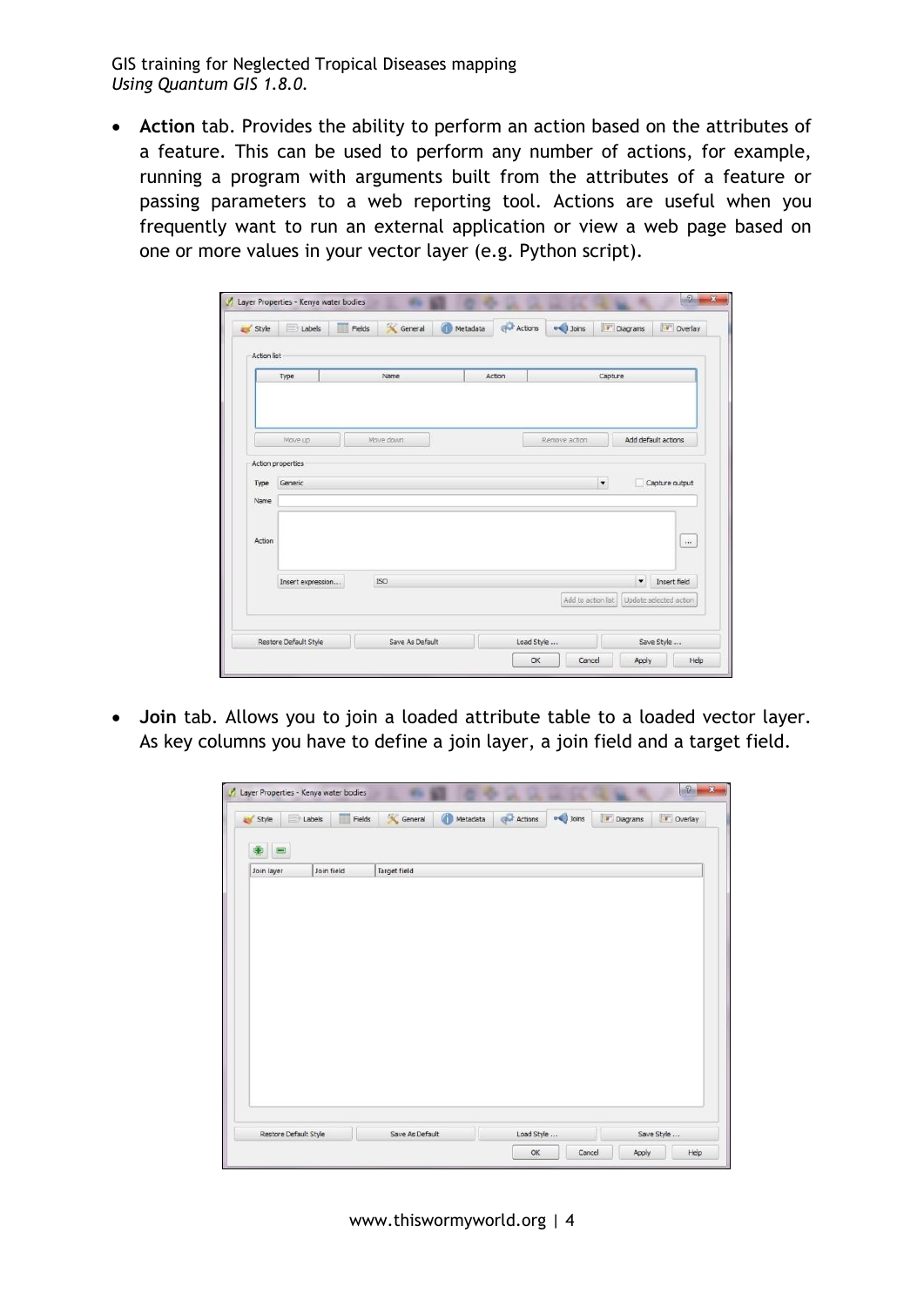**Action** tab. Provides the ability to perform an action based on the attributes of a feature. This can be used to perform any number of actions, for example, running a program with arguments built from the attributes of a feature or passing parameters to a web reporting tool. Actions are useful when you frequently want to run an external application or view a web page based on one or more values in your vector layer (e.g. Python script).

|                    | Labels                       | Fields | General          | Metadata | Actions       | <b>DEL</b> Joins     | Diagrams   | v Overlay                              |
|--------------------|------------------------------|--------|------------------|----------|---------------|----------------------|------------|----------------------------------------|
| <b>Action</b> list |                              |        |                  |          |               |                      |            |                                        |
|                    | Type                         |        | Name             |          | <b>Action</b> |                      | Capture    |                                        |
|                    | Move up<br>Action properties |        | Move down        |          |               | Remove action        |            | Add default actions                    |
| Type<br>Name       | Generic                      |        |                  |          |               | $\ddot{\phantom{0}}$ | п          | Capture output<br>$\cdots$             |
| Action             |                              |        |                  |          |               |                      |            |                                        |
|                    | Insert expression            |        | ISO <sub>1</sub> |          |               | Add to action list   | $\check{}$ | Insert field<br>Update selected action |

 **Join** tab. Allows you to join a loaded attribute table to a loaded vector layer. As key columns you have to define a join layer, a join field and a target field.

| style      | Labels<br>Ħ           | K<br>Fields<br>General | 0<br>Metadata | Actions    | • Joins | Diagrams | v Overlay  |
|------------|-----------------------|------------------------|---------------|------------|---------|----------|------------|
| Ξ          |                       |                        |               |            |         |          |            |
| Join layer | Join field            | <b>Target field</b>    |               |            |         |          |            |
|            |                       |                        |               |            |         |          |            |
|            |                       |                        |               |            |         |          |            |
|            |                       |                        |               |            |         |          |            |
|            |                       |                        |               |            |         |          |            |
|            |                       |                        |               |            |         |          |            |
|            |                       |                        |               |            |         |          |            |
|            |                       |                        |               |            |         |          |            |
|            |                       |                        |               |            |         |          |            |
|            |                       |                        |               |            |         |          |            |
|            | Restore Default Style | Save As Default        |               | Load Style |         |          | Save Style |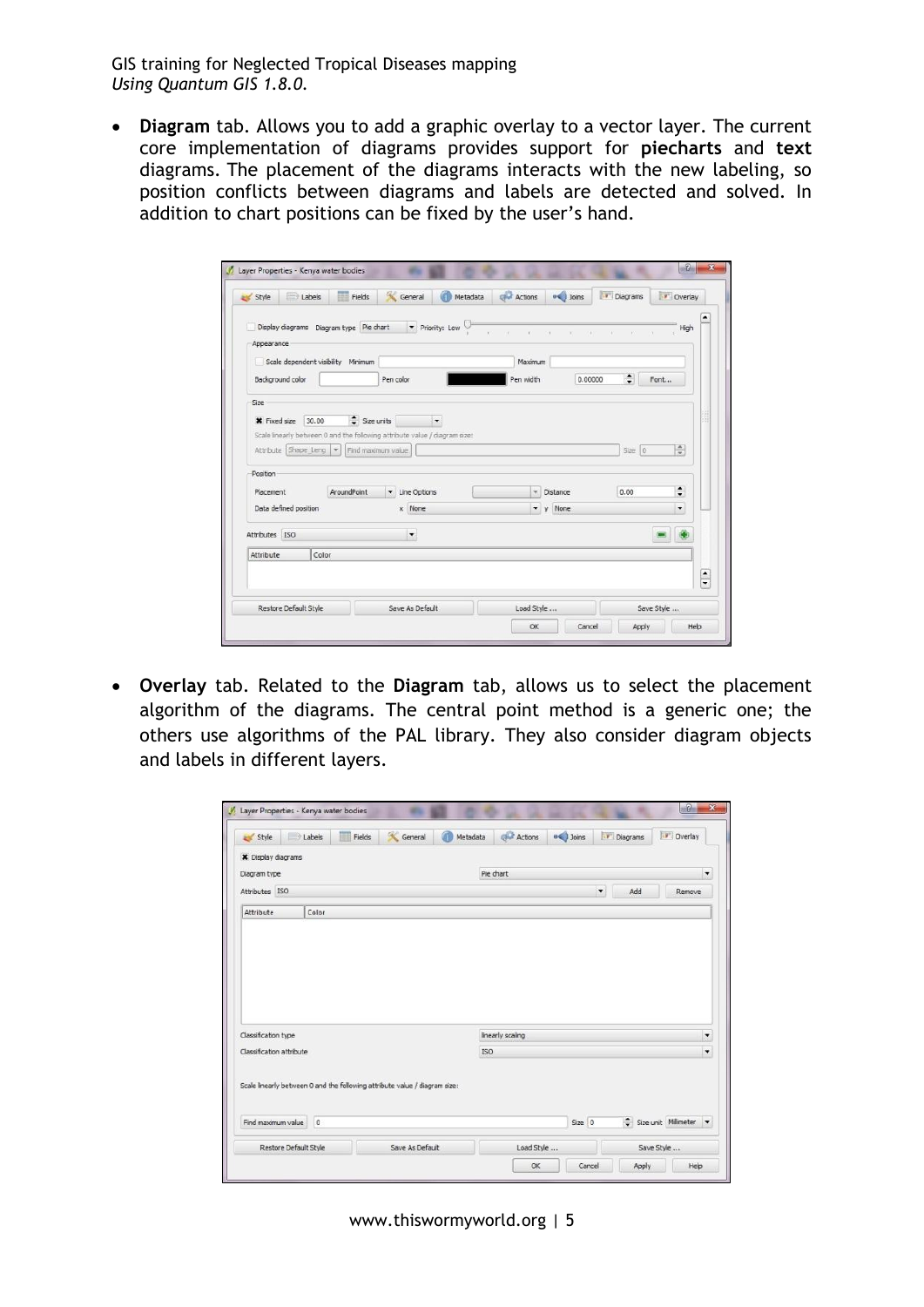**Diagram** tab. Allows you to add a graphic overlay to a vector layer. The current core implementation of diagrams provides support for **piecharts** and **text** diagrams. The placement of the diagrams interacts with the new labeling, so position conflicts between diagrams and labels are detected and solved. In addition to chart positions can be fixed by the user's hand.

|                       | Labels                | Fields                                                                        | General                                                                    | Metadata      | <b>Actions</b>           | <b>DE Joins</b> |                  | Diagrams                           |              | v Overlay  |                  |
|-----------------------|-----------------------|-------------------------------------------------------------------------------|----------------------------------------------------------------------------|---------------|--------------------------|-----------------|------------------|------------------------------------|--------------|------------|------------------|
| Appearance            |                       | Display diagrams Diagram type Pie chart<br>Scale dependent visibility Minimum |                                                                            | Triority: Low | $\mathcal{L}$<br>Maximum | CONTRACTOR      | The State Street | $\mathbb{R}^n$<br>$\mathbb{R}^n$ . | $\mathbf{u}$ | High       | ۰                |
| Background color      |                       |                                                                               | Pen color                                                                  |               | Pen width                |                 | 0.00000          | $\hat{\cdot}$                      | Font         |            |                  |
|                       |                       | Attribute Shape Leng   v   Find maximum value                                 | Scale linearly between 0 and the following attribute value / diagram size: |               |                          |                 |                  | Size 0                             |              | $\div$     |                  |
| Position<br>Placement |                       | AroundPoint                                                                   | • Line Options                                                             |               | w.                       | Distance        |                  | 0.00                               |              | ≎          |                  |
|                       | Data defined position |                                                                               | x None                                                                     |               | $\mathbf{v}$             | y None          |                  |                                    |              | $\check{}$ |                  |
| Attributes ISO        |                       |                                                                               | $\ddot{}$                                                                  |               |                          |                 |                  |                                    |              |            |                  |
| Attribute             | Color                 |                                                                               |                                                                            |               |                          |                 |                  |                                    |              |            |                  |
|                       |                       |                                                                               |                                                                            |               |                          |                 |                  |                                    |              |            | $\frac{1}{\tau}$ |

 **Overlay** tab. Related to the **Diagram** tab, allows us to select the placement algorithm of the diagrams. The central point method is a generic one; the others use algorithms of the PAL library. They also consider diagram objects and labels in different layers.

| style                                           | Labels         | Fields<br>₩ | General                                                                    | Metadata | <b>Actions</b>   | <b>Designation</b> | Diagrams             |     | <b>D</b> <sup>V</sup> Overlay |                                        |
|-------------------------------------------------|----------------|-------------|----------------------------------------------------------------------------|----------|------------------|--------------------|----------------------|-----|-------------------------------|----------------------------------------|
| <b>X</b> Display diagrams                       |                |             |                                                                            |          |                  |                    |                      |     |                               |                                        |
| Diagram type                                    |                |             |                                                                            |          | Pie chart        |                    |                      |     |                               | ۰                                      |
| Attributes ISO                                  |                |             |                                                                            |          |                  |                    | $\blacktriangledown$ | Add | Remove                        |                                        |
| Attribute                                       | Color          |             |                                                                            |          |                  |                    |                      |     |                               |                                        |
|                                                 |                |             |                                                                            |          |                  |                    |                      |     |                               |                                        |
|                                                 |                |             |                                                                            |          |                  |                    |                      |     |                               |                                        |
|                                                 |                |             |                                                                            |          | linearly scaling |                    |                      |     |                               |                                        |
| Classification type<br>Classification attribute |                |             |                                                                            | ISO      |                  |                    |                      |     |                               |                                        |
| Find maximum value                              | $\overline{0}$ |             | Scale linearly between 0 and the following attribute value / diagram size: |          |                  | Size 0             |                      |     | Size unit Milimeter           | $\overline{ }$<br>$\blacktriangledown$ |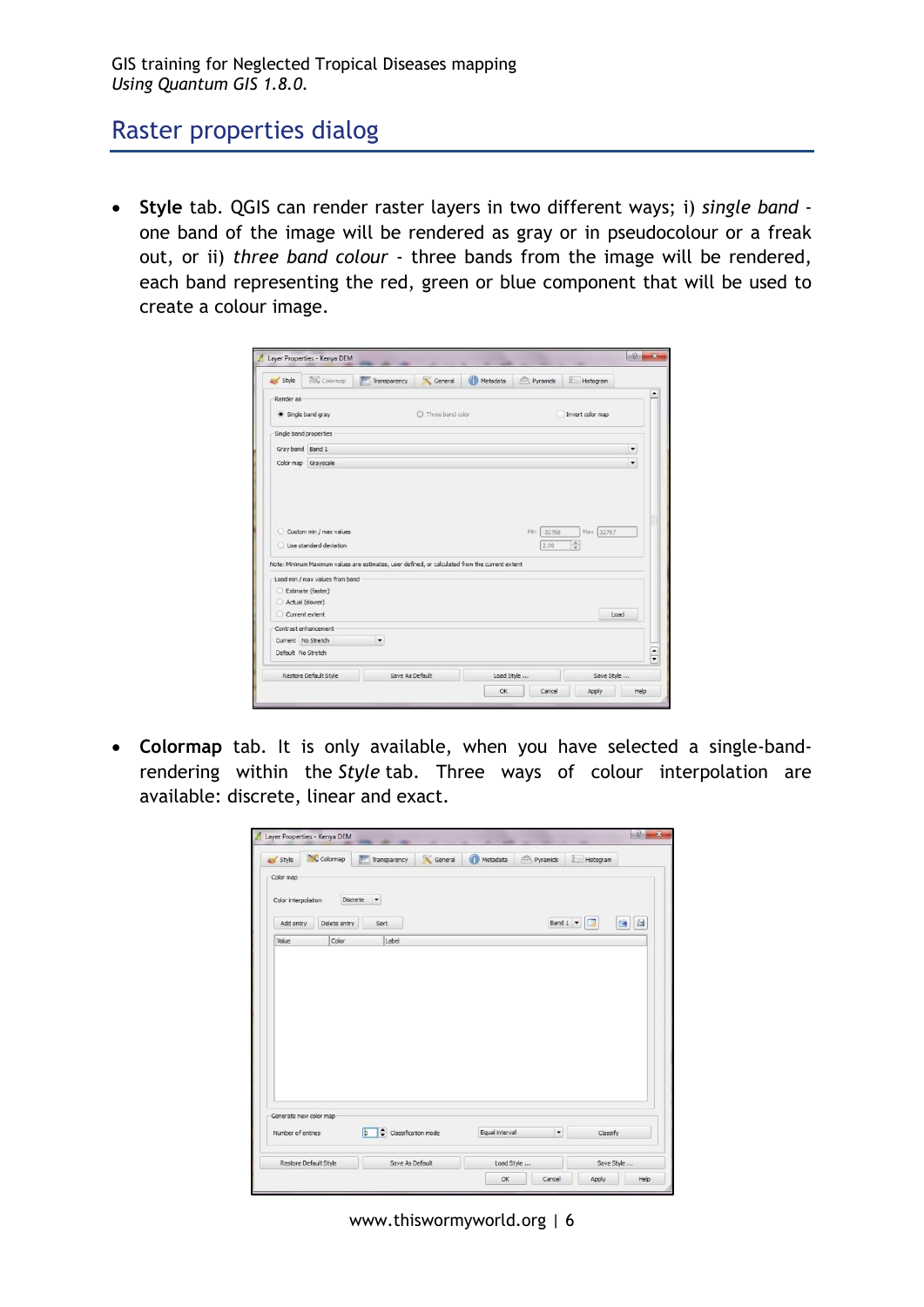## Raster properties dialog

 **Style** tab. QGIS can render raster layers in two different ways; i) *single band* one band of the image will be rendered as gray or in pseudocolour or a freak out, or ii) *three band colour* - three bands from the image will be rendered, each band representing the red, green or blue component that will be used to create a colour image.

| style                                    | <b>PHC</b> Colormap                                 | Transparency                                                                                    | General            | Metadata | Pyramids                | Histogram<br><b>Ros</b> |      |
|------------------------------------------|-----------------------------------------------------|-------------------------------------------------------------------------------------------------|--------------------|----------|-------------------------|-------------------------|------|
| Render as                                |                                                     |                                                                                                 |                    |          |                         |                         |      |
|                                          | Single band gray                                    |                                                                                                 | C Three band color |          |                         | Invert color map        |      |
|                                          | Single band properties                              |                                                                                                 |                    |          |                         |                         |      |
| Gray band Band 1                         |                                                     |                                                                                                 |                    |          |                         |                         | ۰    |
|                                          | Color map Grayscale                                 |                                                                                                 |                    |          |                         |                         | ۰    |
|                                          | C Custom min / max values<br>Use standard deviation |                                                                                                 |                    |          | Min<br>$-32768$<br>2.00 | Max 32767<br>슬          |      |
|                                          | Load min / max values from band                     | Note: Minimum Maximum values are estimates, user defined, or calculated from the current extent |                    |          |                         |                         |      |
|                                          | Estimate (faster)                                   |                                                                                                 |                    |          |                         |                         |      |
| Actual (slower)                          |                                                     |                                                                                                 |                    |          |                         |                         |      |
| Current extent                           |                                                     |                                                                                                 |                    |          |                         |                         | Load |
|                                          | Contrast enhancement                                | $\check{}$                                                                                      |                    |          |                         |                         |      |
| Current No Stretch<br>Default No Stretch |                                                     |                                                                                                 |                    |          |                         |                         |      |

 **Colormap** tab. It is only available, when you have selected a single-bandrendering within the *Style* tab. Three ways of colour interpolation are available: discrete, linear and exact.

| Colormap<br><b>Age Style</b>                                         | Transparency                     | G<br>Metadata  | Pyramids      | Histogram  |
|----------------------------------------------------------------------|----------------------------------|----------------|---------------|------------|
| Color map                                                            |                                  |                |               |            |
| Color interpolation                                                  | Discrete<br>$\blacktriangledown$ |                |               |            |
| Delete entry<br>Add entry                                            | Sort                             |                | Band $1 -$    | 自旧<br>E    |
| Color<br>Value                                                       | Label                            |                |               |            |
|                                                                      |                                  |                |               |            |
|                                                                      |                                  |                |               |            |
|                                                                      |                                  |                |               |            |
|                                                                      |                                  |                |               |            |
|                                                                      |                                  |                |               |            |
|                                                                      |                                  |                |               |            |
|                                                                      |                                  |                |               |            |
|                                                                      |                                  |                |               |            |
|                                                                      |                                  |                |               |            |
|                                                                      |                                  |                |               |            |
|                                                                      | $\div$ Classification mode<br>ID | Equal interval | $\pmb{\cdot}$ | Classify   |
| Generate new color map<br>Number of entries<br>Restore Default Style | Save As Default                  |                | Load Style    | Save Style |

www.thiswormyworld.org | 6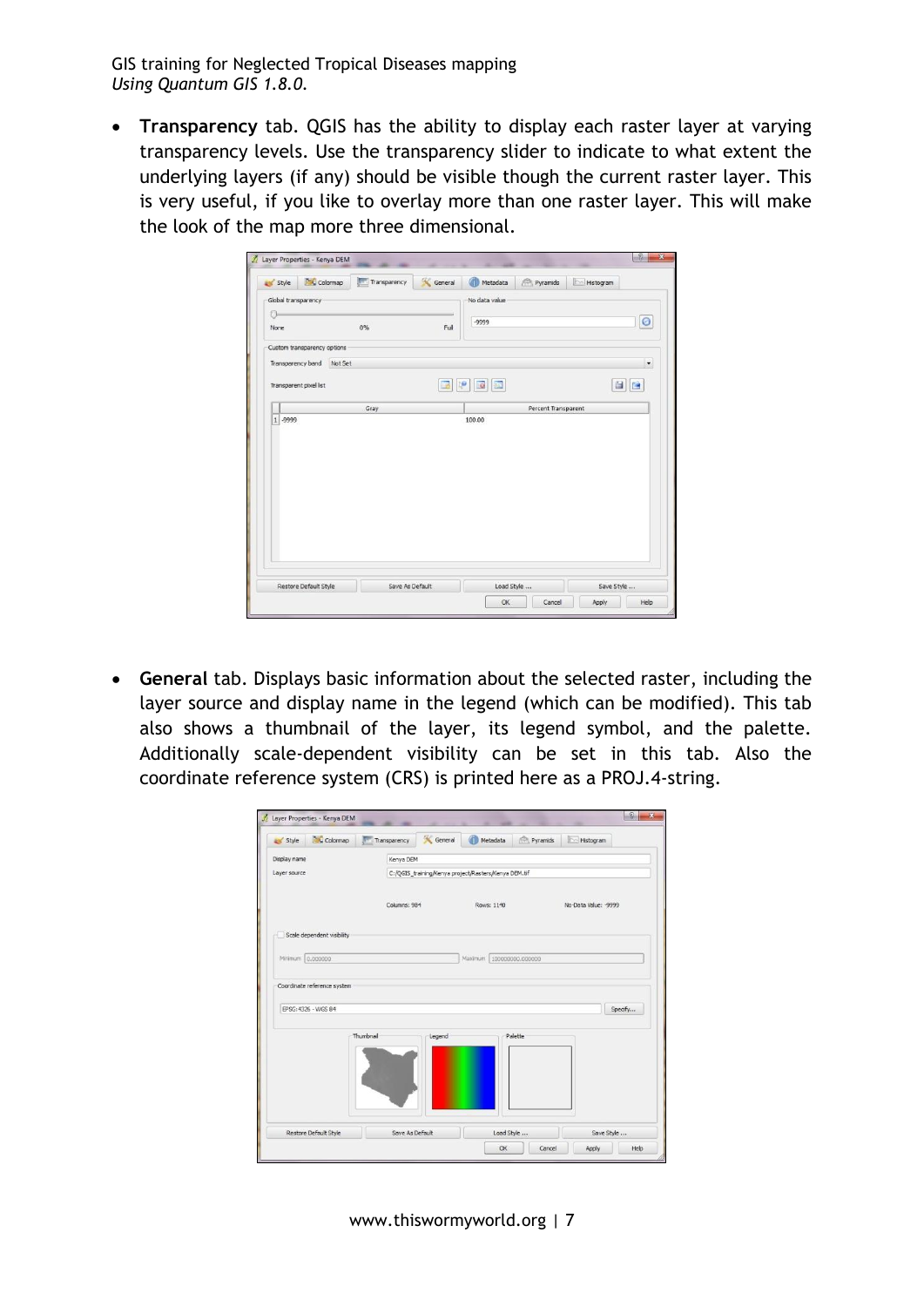**Transparency** tab. QGIS has the ability to display each raster layer at varying transparency levels. Use the transparency slider to indicate to what extent the underlying layers (if any) should be visible though the current raster layer. This is very useful, if you like to overlay more than one raster layer. This will make the look of the map more three dimensional.

| style   | Colormap                     | Transparency | General        | Metadata                                               | A.<br>Pyramids      | Histogram |                          |
|---------|------------------------------|--------------|----------------|--------------------------------------------------------|---------------------|-----------|--------------------------|
|         | Global transparency          |              |                | No data value                                          |                     |           |                          |
| None    |                              | 0%           | Full           | $-9999$                                                |                     |           | $\odot$                  |
|         | Custom transparency options  |              |                |                                                        |                     |           |                          |
|         | Transparency band<br>Not Set |              |                |                                                        |                     |           | $\overline{\phantom{a}}$ |
|         | Transparent pixel list       |              | $\overline{B}$ | $\mathbf{P} \parallel \mathbf{E} \parallel \mathbf{E}$ |                     | 日目        |                          |
|         |                              | Gray         |                |                                                        | Percent Transparent |           |                          |
| 1 -9999 |                              |              |                | 100.00                                                 |                     |           |                          |
|         |                              |              |                |                                                        |                     |           |                          |

 **General** tab. Displays basic information about the selected raster, including the layer source and display name in the legend (which can be modified). This tab also shows a thumbnail of the layer, its legend symbol, and the palette. Additionally scale-dependent visibility can be set in this tab. Also the coordinate reference system (CRS) is printed here as a PROJ.4-string.

| style            | Colormap                    | Transparency |        | Metadata                                             | Pyramids | <b>IN</b><br>Histogram |
|------------------|-----------------------------|--------------|--------|------------------------------------------------------|----------|------------------------|
| Display name     |                             | Kenya DEM    |        |                                                      |          |                        |
| Laver source     |                             |              |        | C:/QGIS_training/Kenya project/Rasters/Kenya DEM.tif |          |                        |
|                  |                             | Columns: 984 |        | Rows: 1140                                           |          | No-Data Value: -9999   |
|                  | Scale dependent visibility  |              |        |                                                      |          |                        |
|                  |                             |              |        |                                                      |          |                        |
| Minimum 0.000000 |                             |              |        | Maximum 100000000.000000                             |          |                        |
|                  |                             |              |        |                                                      |          |                        |
|                  | Coordinate reference system |              |        |                                                      |          |                        |
|                  | EPSG: 4326 - WGS 84         |              |        |                                                      |          | Specify                |
|                  |                             |              |        |                                                      |          |                        |
|                  |                             | Thumbnail    | Legend |                                                      | Palette  |                        |
|                  |                             |              |        |                                                      |          |                        |
|                  |                             |              |        |                                                      |          |                        |
|                  |                             |              |        |                                                      |          |                        |
|                  |                             |              |        |                                                      |          |                        |

www.thiswormyworld.org | 7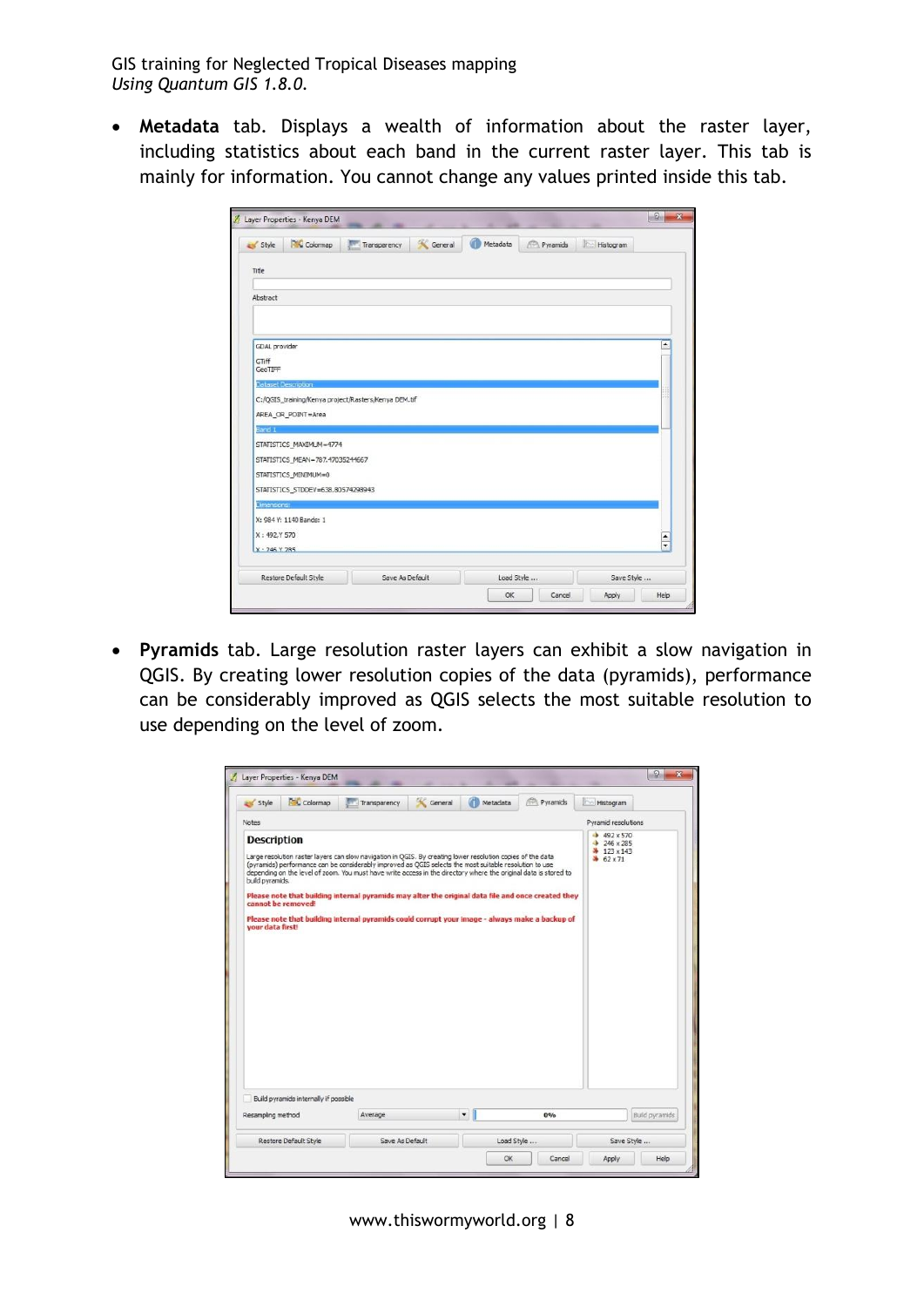**Metadata** tab. Displays a wealth of information about the raster layer, including statistics about each band in the current raster layer. This tab is mainly for information. You cannot change any values printed inside this tab.

|                        | / Layer Properties - Kenya DEM    |                                                      |         |          |                 |                           |                      |
|------------------------|-----------------------------------|------------------------------------------------------|---------|----------|-----------------|---------------------------|----------------------|
| style                  | Colormap                          | Transparency<br>y.                                   | General | Metadata | <b>Pyramids</b> | $\mathbb{R}$<br>Histogram |                      |
| Title                  |                                   |                                                      |         |          |                 |                           |                      |
| Abstract               |                                   |                                                      |         |          |                 |                           |                      |
|                        |                                   |                                                      |         |          |                 |                           |                      |
| GDAL provider<br>GTiff |                                   |                                                      |         |          |                 |                           | ۰                    |
| GeoTIFF                | Dataset Description               |                                                      |         |          |                 |                           |                      |
|                        |                                   | C:/QGIS_training/Kenya project/Rasters/Kenya DEM.tif |         |          |                 |                           |                      |
|                        | AREA OR POINT=Area                |                                                      |         |          |                 |                           |                      |
| Band 1                 |                                   |                                                      |         |          |                 |                           |                      |
|                        | STATISTICS_MAXIMUM=4774           |                                                      |         |          |                 |                           |                      |
|                        | STATISTICS_MEAN=787.47035244667   |                                                      |         |          |                 |                           |                      |
|                        | STATISTICS_MINIMUM=0              |                                                      |         |          |                 |                           |                      |
|                        | STATISTICS_STDDEV=638.80574298943 |                                                      |         |          |                 |                           |                      |
| Dimensions:            |                                   |                                                      |         |          |                 |                           |                      |
|                        | X: 984 Y: 1140 Bands: 1           |                                                      |         |          |                 |                           |                      |
| X: 492, Y 570          |                                   |                                                      |         |          |                 |                           |                      |
| <b>Y - 746 Y 785</b>   |                                   |                                                      |         |          |                 |                           | $\frac{1}{\sqrt{2}}$ |
|                        |                                   |                                                      |         |          |                 |                           |                      |
|                        | Restore Default Style             | Save As Default                                      |         |          | Load Style      | Save Style                |                      |
|                        |                                   |                                                      |         |          |                 |                           |                      |

 **Pyramids** tab. Large resolution raster layers can exhibit a slow navigation in QGIS. By creating lower resolution copies of the data (pyramids), performance can be considerably improved as QGIS selects the most suitable resolution to use depending on the level of zoom.

| Colormap<br>style                                                                                                                                                                                                                                                                                                                                                                                                                                                                                                                                                                                                                     | Transparency | $\alpha$<br>General | Pyramids<br>Metadata | Histogram                                                                   |                       |
|---------------------------------------------------------------------------------------------------------------------------------------------------------------------------------------------------------------------------------------------------------------------------------------------------------------------------------------------------------------------------------------------------------------------------------------------------------------------------------------------------------------------------------------------------------------------------------------------------------------------------------------|--------------|---------------------|----------------------|-----------------------------------------------------------------------------|-----------------------|
| Notes                                                                                                                                                                                                                                                                                                                                                                                                                                                                                                                                                                                                                                 |              |                     |                      | Pyramid resolutions                                                         |                       |
| <b>Description</b><br>Large resolution raster layers can slow navigation in OGIS. By creating lower resolution copies of the data<br>(pyramids) performance can be considerably improved as QGIS selects the most suitable resolution to use<br>depending on the level of zoom. You must have write access in the directory where the original data is stored to<br>build pyramids.<br>Please note that building internal pyramids may alter the original data file and once created they<br>cannot be removed!<br>Please note that building internal pyramids could corrupt your image - always make a backup of<br>vour data first! |              |                     |                      | $492 \times 570$<br>$246 \times 285$<br>$123 \times 143$<br>$862 \times 71$ |                       |
|                                                                                                                                                                                                                                                                                                                                                                                                                                                                                                                                                                                                                                       |              |                     |                      |                                                                             |                       |
| Build pyramids internally if possible<br>Resampling method                                                                                                                                                                                                                                                                                                                                                                                                                                                                                                                                                                            | Average      | ▾ ∥                 | 0%                   |                                                                             | <b>Build</b> pyramids |

www.thiswormyworld.org | 8